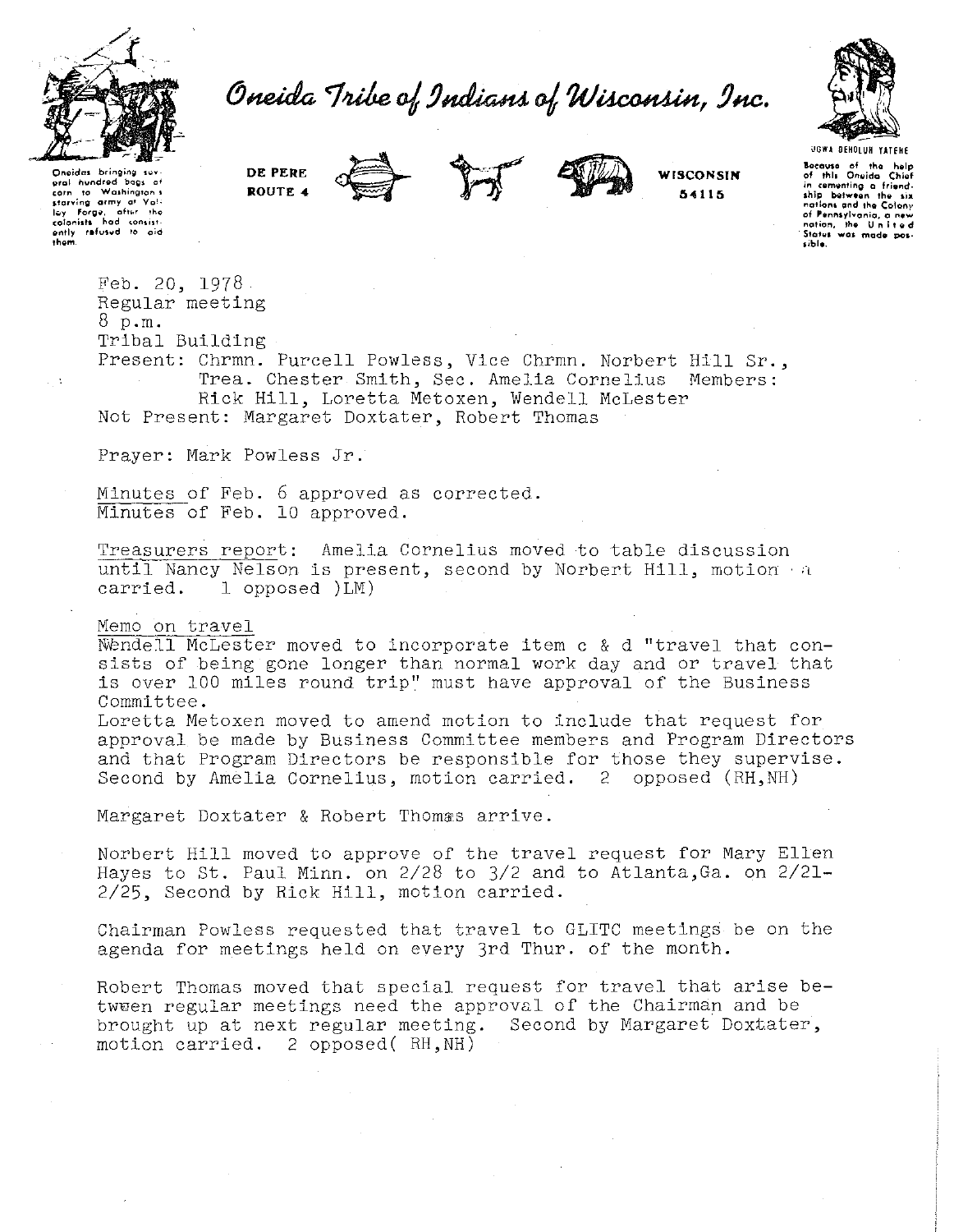

Oneida Tribe of Indians of Wisconsin, Inc.



Onoidas bringing suv<br>**gral** hundred bags o **orn to Walhingron \$1**<br> **starving army at Vali**<br> **l..,y** Forge, after the<br> **colonists** had consist-<br> **colonists** had consist-<br> **ently refused** to aid<br> **them.** 

 $\mathbb{R}^3$ 

**DE PERE ROUTE 4** 





**WISCONSIN 54115** 

**locause of the help of this Oneido Chief**<br>**of this Oneido Chief**<br>in cementing a friend-**1hip between the six<br>
<b>nations and the Colony**<br> **of Pannsylvania, a new**<br> **nation, the Un it ed**<br> **States was made possible.** 

Feb. 20, 1978 Regular meeting 8 p.m. Tribal Building

Present: Chrmn. Purcell Powless, Vice Chrmn. Norbert Hill Sr., Trea. Chester Smith, Sec. Amelia Cornelius Members: Rick Hill, Loretta Metoxen, Wendell McLester Not Present: Margaret Doxtater, Robert Thomas

Prayer: Mark Powless Jr.

Minutes of Feb. 6 approved as corrected. Minutes of Feb. 10 approved.

Treasurers report: Amelia Cornelius moved to table discussion until Nancy Nelson is present, second by Norbert Hill, motion a carried. 1 opposed  $)LM$ )  $1$  opposed  $)LM$ )

## Memo on travel

Nendell McLester moved to incorporate item c & d "travel that consists of being gone longer than normal work day and or travel that is over 100 miles round trip" must have approval of the Business Committee.

Loretta Metoxen moved to amend motion to include that request for approval be made by Business Committee members and Program Directors and that Program Directors be responsible for those they supervise. Second by Amelia Cornelius, motion carried. 2 opposed (RH,NH)

Margaret Doxtater & Robert Thomas arrive.

Norbert Hill moved to approve of the travel request for Mary Ellen Hayes to St. Paul Minn. on  $2/28$  to  $3/2$  and to Atlanta, Ga. on  $2/21-$ 2/25, Second by Rick Hill, motion carried.

Chairman Powless requested that travel to GLITC meetings be on the agenda for meetings held on every 3rd Thur. of the month.

Robert Thomas moved that special request for travel that arise betwuen regular meetings need the approval of the Chairman and be brought up at next regular meeting. Second by Margaret Doxtater, motion carried. 2 opposed( RH,NH)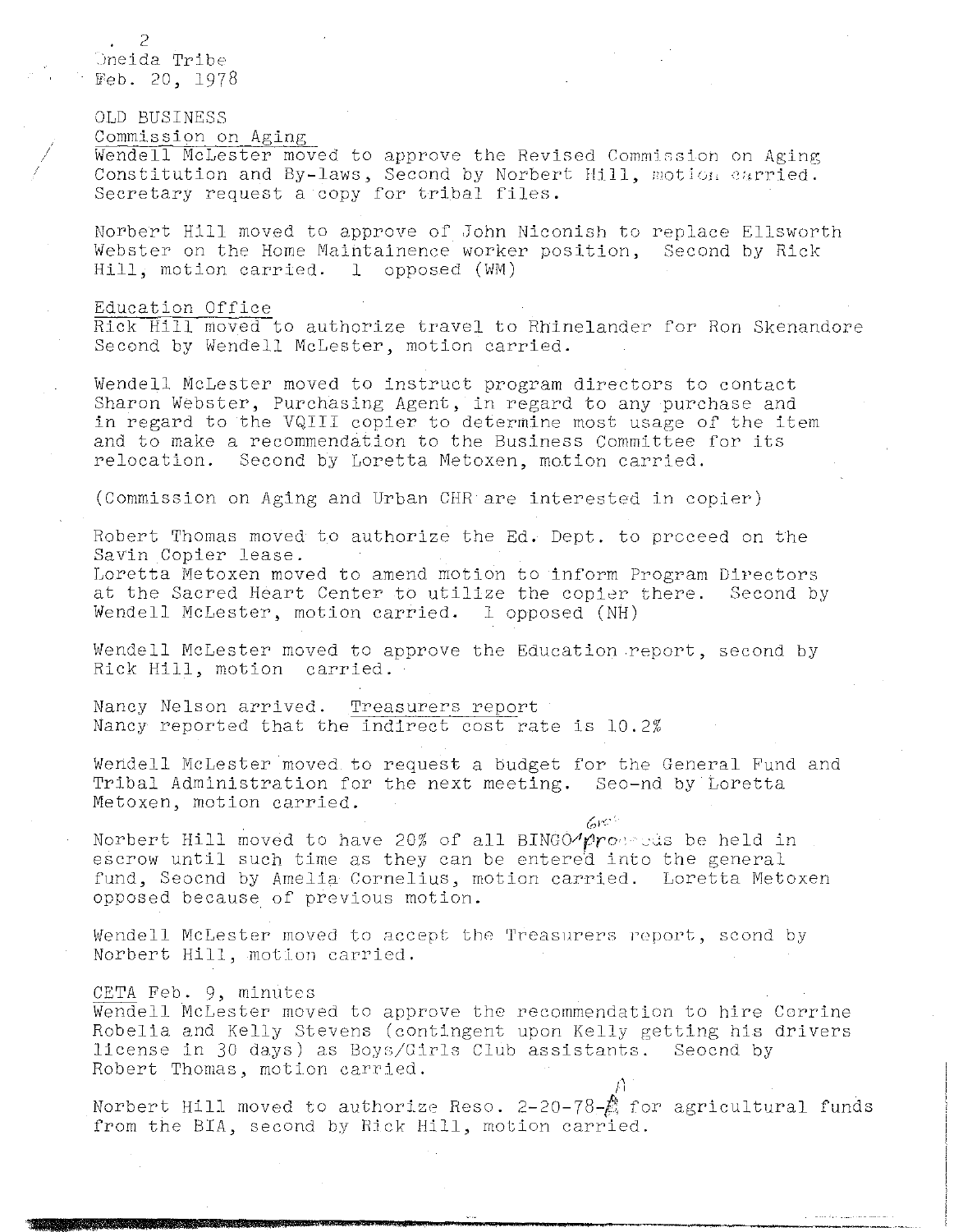2 Oneida Tribe Feb. 20, 1978

OLD BUSINESS

Commission on Aging

Wendell McLester moved to approve the Revised Commission on Aging Constitution and By-laws, Second by Norbert Hill, motion carried. Secretary request a copy for tribal files.

Norbert Hill moved to approve of John Niconish to replace Ellsworth Webster on the Home Maintainence worker position, Second by Rick Hill, motion carried. 1 opposed (WM)

## Education Office

Rick Hill moved to authorize travel to Rhinelander for Ron Skenandore Second by Wendell McLester, motion carried.

Wendell McLester moved to instruct program directors to contact Sharon Webster, Purchasing Agent, in regard to any purchase and in regard to the VQIII copier to determine most usage of the item and to make a recommendation to the Business Committee for its relocation. Second by Loretta Metoxen, motion carried. Second by Loretta Metoxen, motion carried.

(Commission on Aging and Urban CHR are interested in copier)

Robert Thomas moved to authorize the Ed. Dept. to proceed on the Savin Copier lease.

Loretta Metoxen moved to amend motion to inform Program Directors at the Sacred Heart Center to utilize the copier there. Second by Wendell McLester, motion carried. 1 opposed (NH)

Wendell McLester moved to approve the Education report, second by Rick Hill, motion carried.

Nancy Nelson arrived. Treasurers report Nancy reported that the indirect cost rate is 10.2%

Wendell McLester moved to request a budget for the General Fund and Tribal Administration for the next meeting. Seo-nd by Loretta Metoxen, motion carried.

 $6<sup>o</sup>$ 

 $\mu$ 

Norbert Hill moved to have 20% of all BINGO- $\gamma$ proprods be held in escrow until such time as they can be entered into the general fund, Seocnd by Amelia Cornelius, motion carried. Loretta Metoxen opposed because of previous motion.

Wendell McLester moved to accept the Treasurers report, scond by Norbert Hill, motion carried.

#### CETA Feb. 9, minutes

Wendell McLester moved to approve the recommendation to hire Corrine Robelia and Kelly Stevens (contingent upon Kelly getting his drivers license in 30 days) as Boys/Girls Club assistants. Seocnd by Robert Thomas, motion carried.

Norbert Hill moved to authorize Reso. 2-20-78-疏 for agricultural funds from the BIA, second by Rick Hill, motion carried.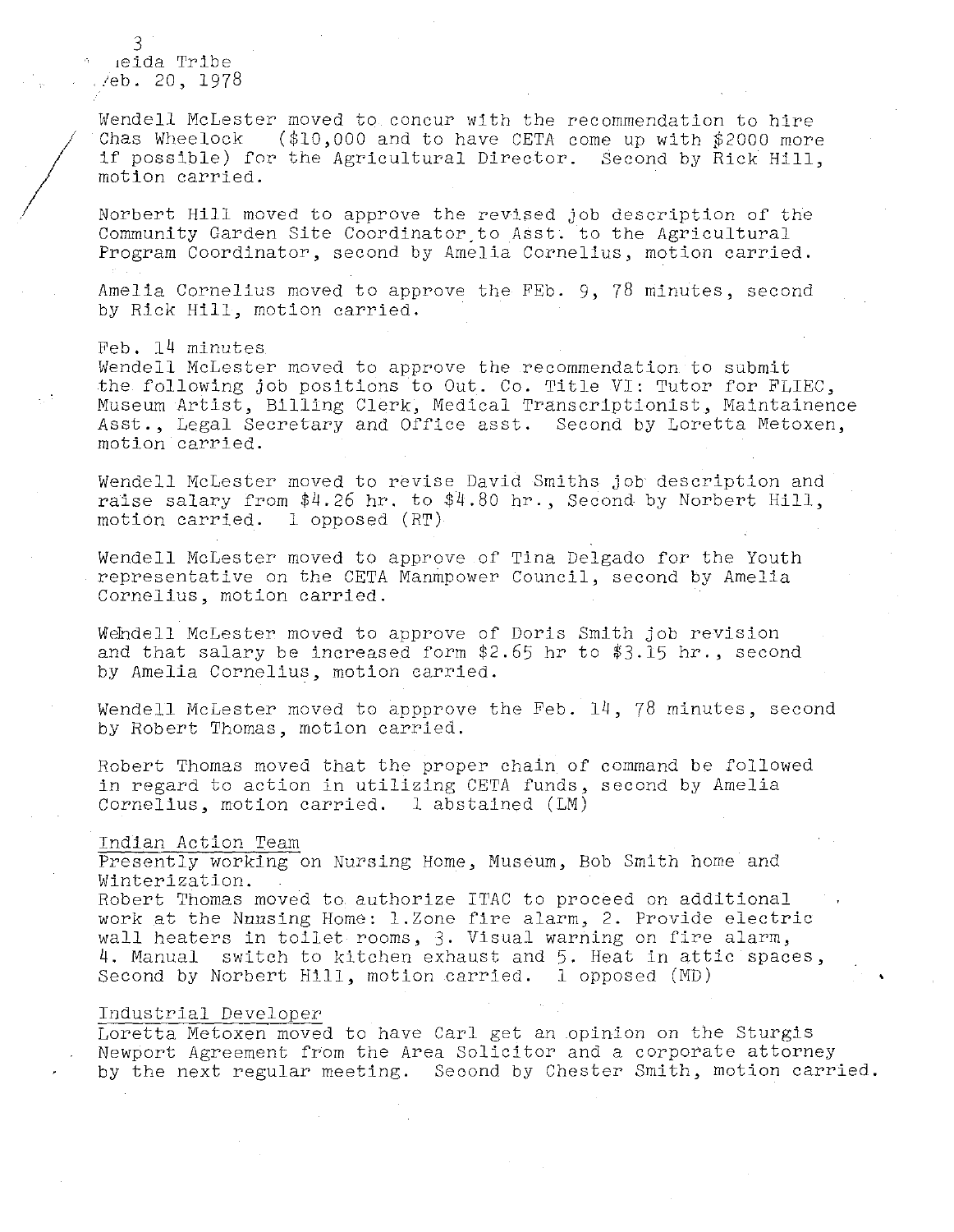3 1eida Tribe /eb. 20, 1978

 $\frac{1}{2}$ 

Wendell McLester moved to concur with the recommendation to hire<br>Chas Wheelock (\$10,000 and to have CETA come up with \$2000 more  $(S10,000$  and to have CETA come up with \$2000 more if possible) for the Agricultural Director. Second by Rick Hill, motion carried.

Norbert Hill moved to approve the revised job description of the Community Garden Site Coordinator to Asst. to the Agricultural Program Coordinator, second by Amelia Cornelius, motion carried.

Amelia Cornelius moved to approve the FEb. 9, 78 minutes, second by Rick Hill, motion carried.

Feb. 14 minutes Wendell McLester moved to approve the recommendation to submit the following job positions to Out. Co. Title VI: Tutor for FLIEC, Museum Artist, Billing Clerk, Medical Transcriptionist, Maintainence Asst., Legal Secretary and Office asst. Second by Loretta Metoxen, motion carried.

Wendell McLester moved to revise David Smiths job description and raise salary from  $$4.26$  hr. to  $$4.80$  hr., Second by Norbert Hill, motion carried. l opposed (RT)

Wendell McLester moved to approve of Tina Delgado for the Youth representative on the CETA Manmpower Council, second by Amelia Cornelius, motion carried.

Wehdell McLester moved to approve of Doris Smith job revision and that salary be increased form \$2.65 hr to \$3.15 hr., second by Amelia Cornelius, motion carried.

Wendell McLester moved to appprove the Feb. 14, 78 minutes, second by Robert Thomas, motion carried.

Robert Thomas moved that the proper chain of command be followed in regard to action in utilizing CETA funds, second by Amelia Cornelius, motion carried. 1 abstained (LM)

#### Indian Action Team

Presently working on Nursing Home, Museum, Bob Smith home and Winterization.

Robert Thomas moved to authorize ITAC to proceed on additional work at the Nunsing Home: 1.Zone fire alarm, 2. Provide electric wall heaters in toilet rooms, 3. Visual warning on fire alarm, 4. Manual switch to kitchen exhaust and 5. Heat in attic spaces, Second by Norbert Hill, motion carried. l opposed (MD)

#### Industrial Developer

Loretta Metoxen moved to have Carl get an .opinion on the Sturgis Newport Agreement from the Area Solicitor and a corporate attorney by the next regular meeting. Second by Chester Smith, motion carried.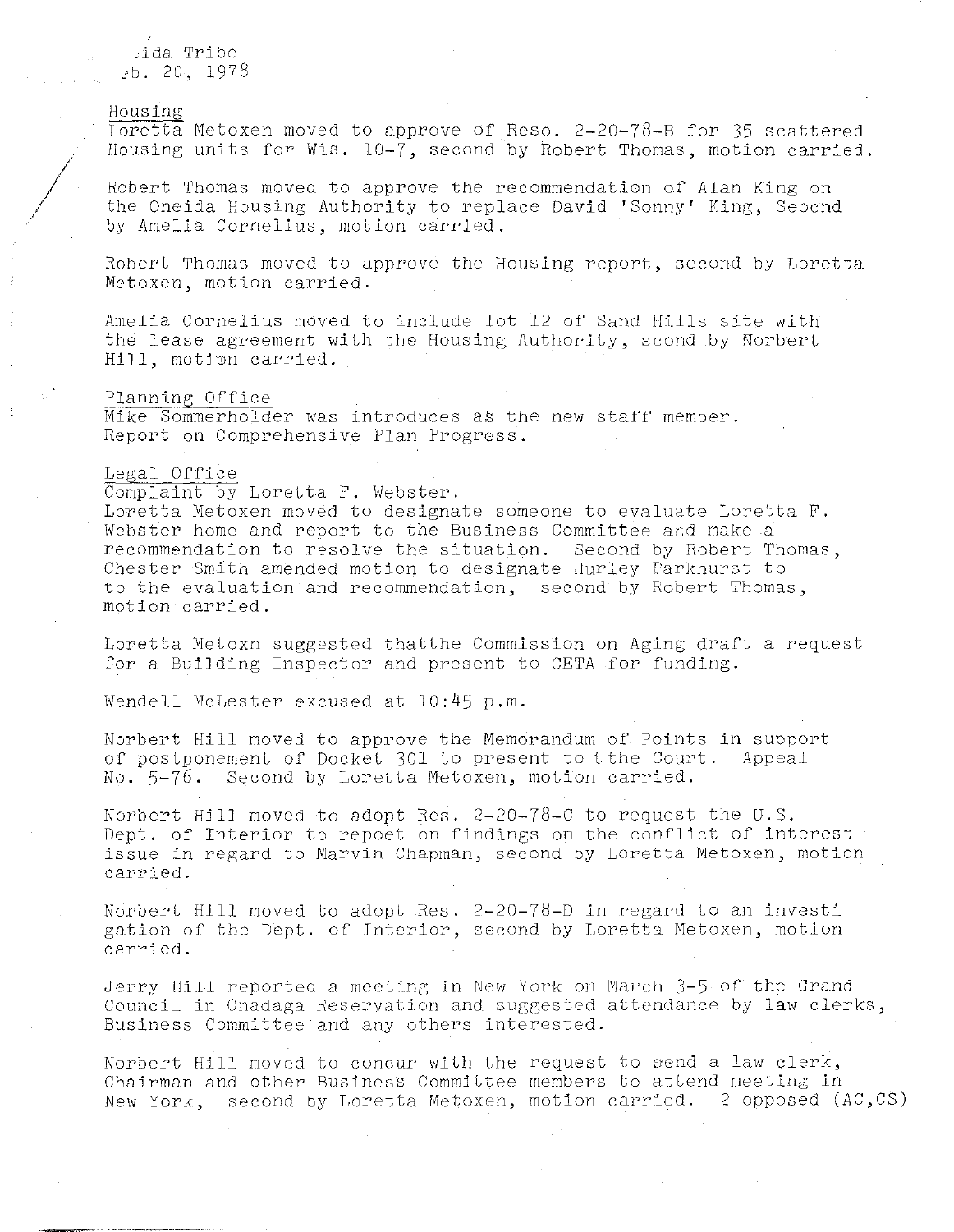cida Tribe *:b.* 20, 1978

# Housing

Loretta Metoxen moved to approve of Reso. 2-20-78-B for 35 scattered Housing units for Wis. 10-7, second by Robert Thomas, motion carried.

Robert Thomas moved to approve the recommendation of Alan King on the Oneida Housing Authority to replace David 'Sonny' King, Seocnd by Amelia Cornelius, motion carried.

Robert Thomas moved to approve the Housing report, second by Loretta Metoxen, motion carried.

Amelia Cornelius moved to include lot 12 of Sand Hills site with the lease agreement with the Housing Authority, scond by Norbert Hill, motion carried.

# Planning Office

Mike Sommerholder was introduces as the new staff member. Report on Comprehensive Plan Progress.

#### Legal Office

---. ----------

Complaint by Loretta F. Webster.

Loretta Metoxen moved to designate someone to evaluate Loretta F. Webster home and report to the Business Committee and make a recommendation to resolve the situation. Second by Robert Thomas, Chester Smith amended motion to designate Hurley Parkhurst to to the evaluation and recommendation, second by Robert Thomas, motion carried.

Loretta Metoxn suggested thatthe Commission on Aging draft a request for a Building Inspector and present to CETA for funding.

Wendell McLester excused at 10:45 p.m.

Norbert Hill moved to approve the Memorandum of Points in support of postponement of Docket 301 to present to tthe Court. Appeal No. 5-76. Second by Loretta Metoxen, motion carried.

Norbert Hill moved to adopt Res. 2-20-78-C to request the U.S. Dept. of Interior to repoet on findings on the conflict of interest issue in regard to Marvin Chapman, second by Loretta Metoxen, motion carried.

Norbert Hill moved to adopt Res. 2-20-78-D in regard to an investi gation of the Dept. of Interior, second by Loretta Metoxen, motion carried.

Jerry Hill reported a meeting in New York on March 3-5 of the Grand Council in Onadaga Reservation and suggested attendance by law clerks, Business Committee and any others interested.

Norbert Hill moved to concur with the request to send a law clerk, Chairman and other Business Committee members to attend meeting in New York, second by Loretta Metoxen, motion carried. 2 opposed (AC,CS)